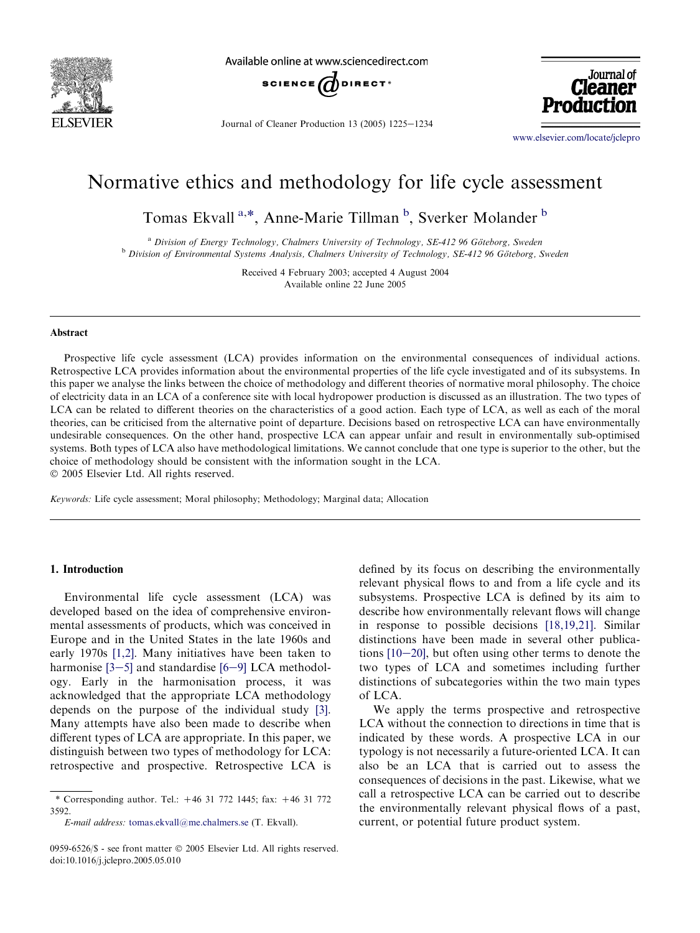

Available online at www.sciencedirect.com



Journal of Cleaner Production 13 (2005) 1225-1234

Journal of Cleaner

[www.elsevier.com/locate/jclepro](http://www.elsevier.com/locate/jclepro)

# Normative ethics and methodology for life cycle assessment

Tomas Ekvall<sup>a,\*</sup>, Anne-Marie Tillman <sup>b</sup>, Sverker Molander <sup>b</sup>

a Division of Energy Technology, Chalmers University of Technology, SE-412 96 Göteborg, Sweden b Division of Environmental Systems Analysis, Chalmers University of Technology, SE-412 96 Göteborg, Sweden

Received 4 February 2003; accepted 4 August 2004 Available online 22 June 2005

#### Abstract

Prospective life cycle assessment (LCA) provides information on the environmental consequences of individual actions. Retrospective LCA provides information about the environmental properties of the life cycle investigated and of its subsystems. In this paper we analyse the links between the choice of methodology and different theories of normative moral philosophy. The choice of electricity data in an LCA of a conference site with local hydropower production is discussed as an illustration. The two types of LCA can be related to different theories on the characteristics of a good action. Each type of LCA, as well as each of the moral theories, can be criticised from the alternative point of departure. Decisions based on retrospective LCA can have environmentally undesirable consequences. On the other hand, prospective LCA can appear unfair and result in environmentally sub-optimised systems. Both types of LCA also have methodological limitations. We cannot conclude that one type is superior to the other, but the choice of methodology should be consistent with the information sought in the LCA. 2005 Elsevier Ltd. All rights reserved.

Keywords: Life cycle assessment; Moral philosophy; Methodology; Marginal data; Allocation

#### 1. Introduction

Environmental life cycle assessment (LCA) was developed based on the idea of comprehensive environmental assessments of products, which was conceived in Europe and in the United States in the late 1960s and early 1970s [\[1,2\]](#page-7-0). Many initiatives have been taken to harmonise  $[3-5]$  $[3-5]$  $[3-5]$  and standardise  $[6-9]$  $[6-9]$  $[6-9]$  LCA methodology. Early in the harmonisation process, it was acknowledged that the appropriate LCA methodology depends on the purpose of the individual study [\[3\].](#page-7-0) Many attempts have also been made to describe when different types of LCA are appropriate. In this paper, we distinguish between two types of methodology for LCA: retrospective and prospective. Retrospective LCA is

E-mail address: [tomas.ekvall@me.chalmers.se](mailto:tomas.ekvall@me.chalmers.se) (T. Ekvall).

defined by its focus on describing the environmentally relevant physical flows to and from a life cycle and its subsystems. Prospective LCA is defined by its aim to describe how environmentally relevant flows will change in response to possible decisions [\[18,19,21\].](#page-8-0) Similar distinctions have been made in several other publications  $[10-20]$  $[10-20]$  $[10-20]$ , but often using other terms to denote the two types of LCA and sometimes including further distinctions of subcategories within the two main types of LCA.

We apply the terms prospective and retrospective LCA without the connection to directions in time that is indicated by these words. A prospective LCA in our typology is not necessarily a future-oriented LCA. It can also be an LCA that is carried out to assess the consequences of decisions in the past. Likewise, what we call a retrospective LCA can be carried out to describe the environmentally relevant physical flows of a past, current, or potential future product system.

<sup>\*</sup> Corresponding author. Tel.:  $+46$  31 772 1445; fax:  $+46$  31 772 3592.

<sup>0959-6526/\$ -</sup> see front matter © 2005 Elsevier Ltd. All rights reserved. doi:10.1016/j.jclepro.2005.05.010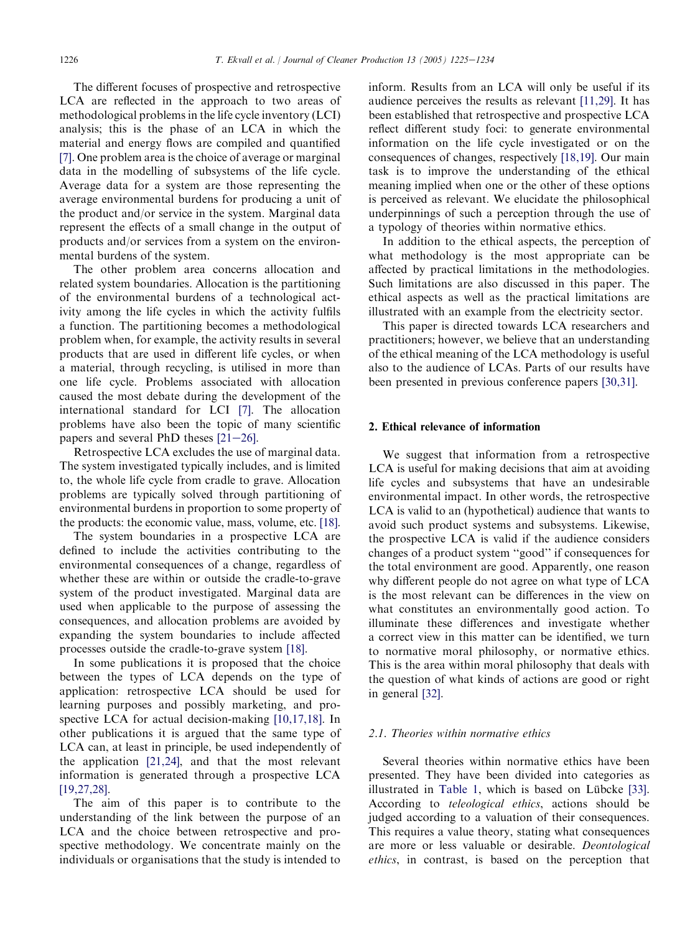The different focuses of prospective and retrospective LCA are reflected in the approach to two areas of methodological problems in the life cycle inventory (LCI) analysis; this is the phase of an LCA in which the material and energy flows are compiled and quantified [\[7\]](#page-8-0). One problem area is the choice of average or marginal data in the modelling of subsystems of the life cycle. Average data for a system are those representing the average environmental burdens for producing a unit of the product and/or service in the system. Marginal data represent the effects of a small change in the output of products and/or services from a system on the environmental burdens of the system.

The other problem area concerns allocation and related system boundaries. Allocation is the partitioning of the environmental burdens of a technological activity among the life cycles in which the activity fulfils a function. The partitioning becomes a methodological problem when, for example, the activity results in several products that are used in different life cycles, or when a material, through recycling, is utilised in more than one life cycle. Problems associated with allocation caused the most debate during the development of the international standard for LCI [\[7\]](#page-8-0). The allocation problems have also been the topic of many scientific papers and several PhD theses  $[21-26]$  $[21-26]$ .

Retrospective LCA excludes the use of marginal data. The system investigated typically includes, and is limited to, the whole life cycle from cradle to grave. Allocation problems are typically solved through partitioning of environmental burdens in proportion to some property of the products: the economic value, mass, volume, etc. [\[18\]](#page-8-0).

The system boundaries in a prospective LCA are defined to include the activities contributing to the environmental consequences of a change, regardless of whether these are within or outside the cradle-to-grave system of the product investigated. Marginal data are used when applicable to the purpose of assessing the consequences, and allocation problems are avoided by expanding the system boundaries to include affected processes outside the cradle-to-grave system [\[18\]](#page-8-0).

In some publications it is proposed that the choice between the types of LCA depends on the type of application: retrospective LCA should be used for learning purposes and possibly marketing, and prospective LCA for actual decision-making [\[10,17,18\].](#page-8-0) In other publications it is argued that the same type of LCA can, at least in principle, be used independently of the application [\[21,24\],](#page-8-0) and that the most relevant information is generated through a prospective LCA [\[19,27,28\]](#page-8-0).

The aim of this paper is to contribute to the understanding of the link between the purpose of an LCA and the choice between retrospective and prospective methodology. We concentrate mainly on the individuals or organisations that the study is intended to

inform. Results from an LCA will only be useful if its audience perceives the results as relevant [\[11,29\].](#page-8-0) It has been established that retrospective and prospective LCA reflect different study foci: to generate environmental information on the life cycle investigated or on the consequences of changes, respectively [\[18,19\]](#page-8-0). Our main task is to improve the understanding of the ethical meaning implied when one or the other of these options is perceived as relevant. We elucidate the philosophical underpinnings of such a perception through the use of a typology of theories within normative ethics.

In addition to the ethical aspects, the perception of what methodology is the most appropriate can be affected by practical limitations in the methodologies. Such limitations are also discussed in this paper. The ethical aspects as well as the practical limitations are illustrated with an example from the electricity sector.

This paper is directed towards LCA researchers and practitioners; however, we believe that an understanding of the ethical meaning of the LCA methodology is useful also to the audience of LCAs. Parts of our results have been presented in previous conference papers [\[30,31\]](#page-8-0).

#### 2. Ethical relevance of information

We suggest that information from a retrospective LCA is useful for making decisions that aim at avoiding life cycles and subsystems that have an undesirable environmental impact. In other words, the retrospective LCA is valid to an (hypothetical) audience that wants to avoid such product systems and subsystems. Likewise, the prospective LCA is valid if the audience considers changes of a product system ''good'' if consequences for the total environment are good. Apparently, one reason why different people do not agree on what type of LCA is the most relevant can be differences in the view on what constitutes an environmentally good action. To illuminate these differences and investigate whether a correct view in this matter can be identified, we turn to normative moral philosophy, or normative ethics. This is the area within moral philosophy that deals with the question of what kinds of actions are good or right in general [\[32\].](#page-8-0)

## 2.1. Theories within normative ethics

Several theories within normative ethics have been presented. They have been divided into categories as illustrated in [Table 1,](#page-2-0) which is based on Lübcke  $[33]$ . According to teleological ethics, actions should be judged according to a valuation of their consequences. This requires a value theory, stating what consequences are more or less valuable or desirable. Deontological ethics, in contrast, is based on the perception that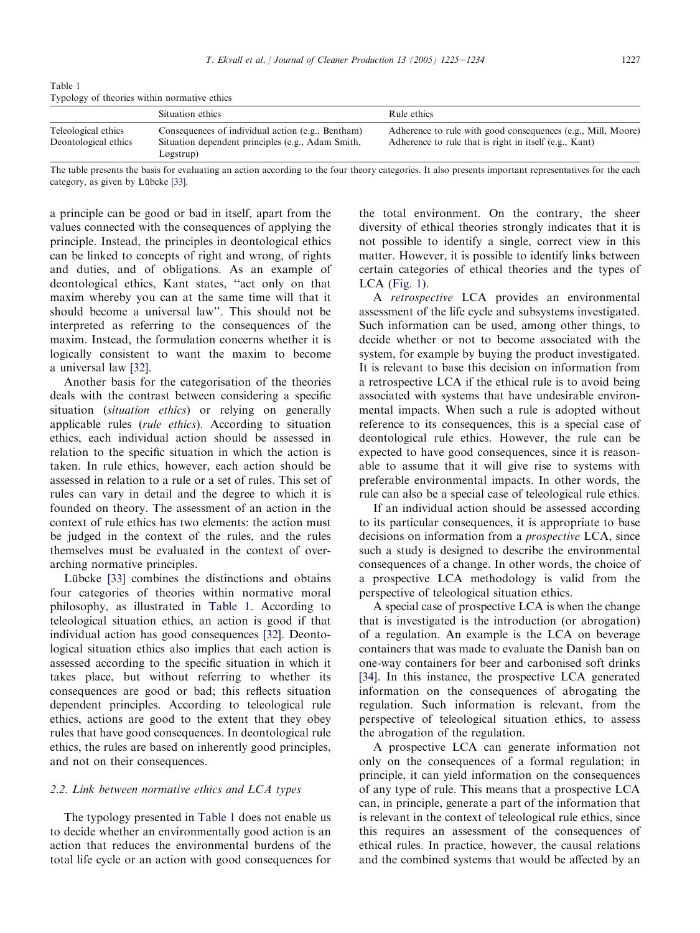<span id="page-2-0"></span>Table 1 Typology of theories within normative ethics

|                                             | Situation ethics                                                                                                    | Rule ethics                                                                                                            |
|---------------------------------------------|---------------------------------------------------------------------------------------------------------------------|------------------------------------------------------------------------------------------------------------------------|
| Teleological ethics<br>Deontological ethics | Consequences of individual action (e.g., Bentham)<br>Situation dependent principles (e.g., Adam Smith,<br>Løgstrup) | Adherence to rule with good consequences (e.g., Mill, Moore)<br>Adherence to rule that is right in itself (e.g., Kant) |

The table presents the basis for evaluating an action according to the four theory categories. It also presents important representatives for the each category, as given by Lübcke [\[33\].](#page-8-0)

a principle can be good or bad in itself, apart from the values connected with the consequences of applying the principle. Instead, the principles in deontological ethics can be linked to concepts of right and wrong, of rights and duties, and of obligations. As an example of deontological ethics, Kant states, ''act only on that maxim whereby you can at the same time will that it should become a universal law''. This should not be interpreted as referring to the consequences of the maxim. Instead, the formulation concerns whether it is logically consistent to want the maxim to become a universal law [\[32\]](#page-8-0).

Another basis for the categorisation of the theories deals with the contrast between considering a specific situation *(situation ethics)* or relying on generally applicable rules (rule ethics). According to situation ethics, each individual action should be assessed in relation to the specific situation in which the action is taken. In rule ethics, however, each action should be assessed in relation to a rule or a set of rules. This set of rules can vary in detail and the degree to which it is founded on theory. The assessment of an action in the context of rule ethics has two elements: the action must be judged in the context of the rules, and the rules themselves must be evaluated in the context of overarching normative principles.

Lübcke [\[33\]](#page-8-0) combines the distinctions and obtains four categories of theories within normative moral philosophy, as illustrated in Table 1. According to teleological situation ethics, an action is good if that individual action has good consequences [\[32\]](#page-8-0). Deontological situation ethics also implies that each action is assessed according to the specific situation in which it takes place, but without referring to whether its consequences are good or bad; this reflects situation dependent principles. According to teleological rule ethics, actions are good to the extent that they obey rules that have good consequences. In deontological rule ethics, the rules are based on inherently good principles, and not on their consequences.

## 2.2. Link between normative ethics and LCA types

The typology presented in Table 1 does not enable us to decide whether an environmentally good action is an action that reduces the environmental burdens of the total life cycle or an action with good consequences for the total environment. On the contrary, the sheer diversity of ethical theories strongly indicates that it is not possible to identify a single, correct view in this matter. However, it is possible to identify links between certain categories of ethical theories and the types of LCA ([Fig. 1](#page-3-0)).

A retrospective LCA provides an environmental assessment of the life cycle and subsystems investigated. Such information can be used, among other things, to decide whether or not to become associated with the system, for example by buying the product investigated. It is relevant to base this decision on information from a retrospective LCA if the ethical rule is to avoid being associated with systems that have undesirable environmental impacts. When such a rule is adopted without reference to its consequences, this is a special case of deontological rule ethics. However, the rule can be expected to have good consequences, since it is reasonable to assume that it will give rise to systems with preferable environmental impacts. In other words, the rule can also be a special case of teleological rule ethics.

If an individual action should be assessed according to its particular consequences, it is appropriate to base decisions on information from a prospective LCA, since such a study is designed to describe the environmental consequences of a change. In other words, the choice of a prospective LCA methodology is valid from the perspective of teleological situation ethics.

A special case of prospective LCA is when the change that is investigated is the introduction (or abrogation) of a regulation. An example is the LCA on beverage containers that was made to evaluate the Danish ban on one-way containers for beer and carbonised soft drinks [\[34\].](#page-8-0) In this instance, the prospective LCA generated information on the consequences of abrogating the regulation. Such information is relevant, from the perspective of teleological situation ethics, to assess the abrogation of the regulation.

A prospective LCA can generate information not only on the consequences of a formal regulation; in principle, it can yield information on the consequences of any type of rule. This means that a prospective LCA can, in principle, generate a part of the information that is relevant in the context of teleological rule ethics, since this requires an assessment of the consequences of ethical rules. In practice, however, the causal relations and the combined systems that would be affected by an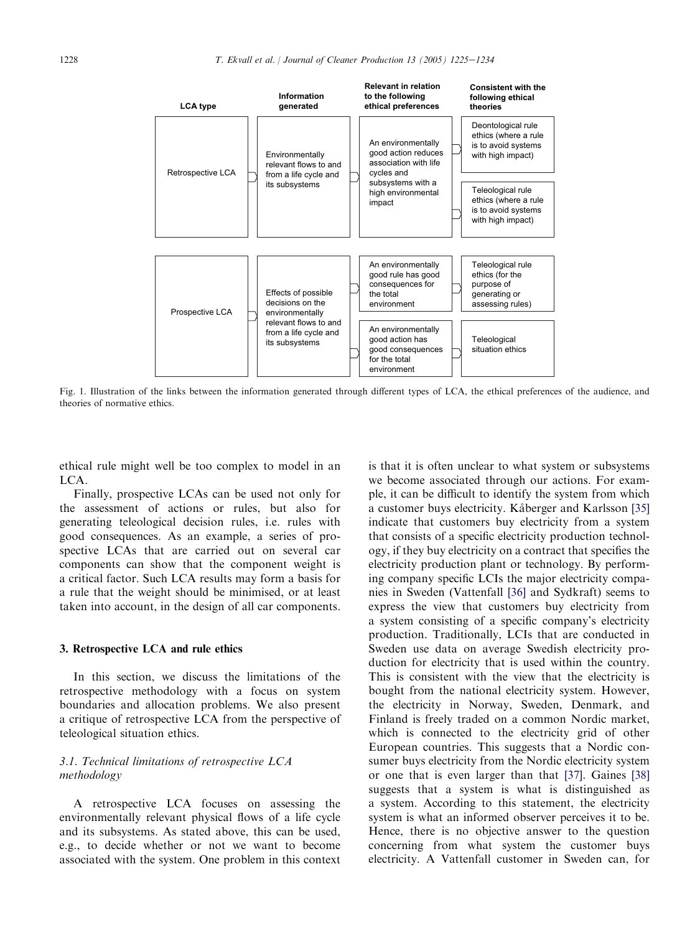<span id="page-3-0"></span>

Fig. 1. Illustration of the links between the information generated through different types of LCA, the ethical preferences of the audience, and theories of normative ethics.

ethical rule might well be too complex to model in an  $LCA$ 

Finally, prospective LCAs can be used not only for the assessment of actions or rules, but also for generating teleological decision rules, i.e. rules with good consequences. As an example, a series of prospective LCAs that are carried out on several car components can show that the component weight is a critical factor. Such LCA results may form a basis for a rule that the weight should be minimised, or at least taken into account, in the design of all car components.

## 3. Retrospective LCA and rule ethics

In this section, we discuss the limitations of the retrospective methodology with a focus on system boundaries and allocation problems. We also present a critique of retrospective LCA from the perspective of teleological situation ethics.

# 3.1. Technical limitations of retrospective LCA methodology

A retrospective LCA focuses on assessing the environmentally relevant physical flows of a life cycle and its subsystems. As stated above, this can be used, e.g., to decide whether or not we want to become associated with the system. One problem in this context

is that it is often unclear to what system or subsystems we become associated through our actions. For example, it can be difficult to identify the system from which a customer buys electricity. Kåberger and Karlsson [\[35\]](#page-8-0) indicate that customers buy electricity from a system that consists of a specific electricity production technology, if they buy electricity on a contract that specifies the electricity production plant or technology. By performing company specific LCIs the major electricity companies in Sweden (Vattenfall [\[36\]](#page-8-0) and Sydkraft) seems to express the view that customers buy electricity from a system consisting of a specific company's electricity production. Traditionally, LCIs that are conducted in Sweden use data on average Swedish electricity production for electricity that is used within the country. This is consistent with the view that the electricity is bought from the national electricity system. However, the electricity in Norway, Sweden, Denmark, and Finland is freely traded on a common Nordic market, which is connected to the electricity grid of other European countries. This suggests that a Nordic consumer buys electricity from the Nordic electricity system or one that is even larger than that [\[37\].](#page-8-0) Gaines [\[38\]](#page-8-0) suggests that a system is what is distinguished as a system. According to this statement, the electricity system is what an informed observer perceives it to be. Hence, there is no objective answer to the question concerning from what system the customer buys electricity. A Vattenfall customer in Sweden can, for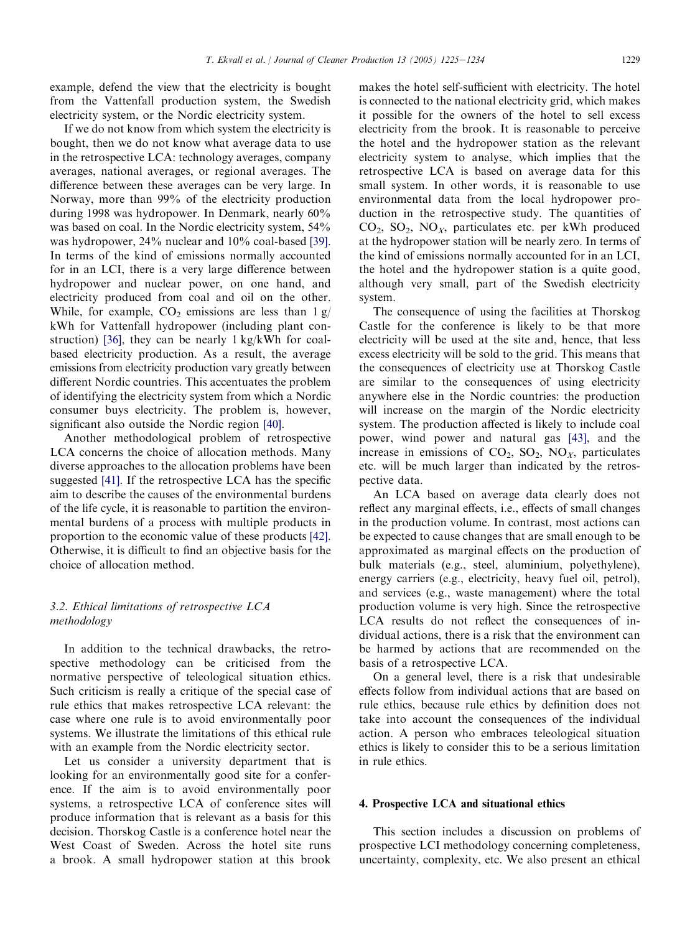example, defend the view that the electricity is bought from the Vattenfall production system, the Swedish electricity system, or the Nordic electricity system.

If we do not know from which system the electricity is bought, then we do not know what average data to use in the retrospective LCA: technology averages, company averages, national averages, or regional averages. The difference between these averages can be very large. In Norway, more than 99% of the electricity production during 1998 was hydropower. In Denmark, nearly 60% was based on coal. In the Nordic electricity system, 54% was hydropower, 24% nuclear and 10% coal-based [\[39\].](#page-8-0) In terms of the kind of emissions normally accounted for in an LCI, there is a very large difference between hydropower and nuclear power, on one hand, and electricity produced from coal and oil on the other. While, for example,  $CO<sub>2</sub>$  emissions are less than 1 g/ kWh for Vattenfall hydropower (including plant construction) [\[36\],](#page-8-0) they can be nearly 1 kg/kWh for coalbased electricity production. As a result, the average emissions from electricity production vary greatly between different Nordic countries. This accentuates the problem of identifying the electricity system from which a Nordic consumer buys electricity. The problem is, however, significant also outside the Nordic region [\[40\]](#page-8-0).

Another methodological problem of retrospective LCA concerns the choice of allocation methods. Many diverse approaches to the allocation problems have been suggested [\[41\].](#page-8-0) If the retrospective LCA has the specific aim to describe the causes of the environmental burdens of the life cycle, it is reasonable to partition the environmental burdens of a process with multiple products in proportion to the economic value of these products [\[42\].](#page-8-0) Otherwise, it is difficult to find an objective basis for the choice of allocation method.

# 3.2. Ethical limitations of retrospective LCA methodology

In addition to the technical drawbacks, the retrospective methodology can be criticised from the normative perspective of teleological situation ethics. Such criticism is really a critique of the special case of rule ethics that makes retrospective LCA relevant: the case where one rule is to avoid environmentally poor systems. We illustrate the limitations of this ethical rule with an example from the Nordic electricity sector.

Let us consider a university department that is looking for an environmentally good site for a conference. If the aim is to avoid environmentally poor systems, a retrospective LCA of conference sites will produce information that is relevant as a basis for this decision. Thorskog Castle is a conference hotel near the West Coast of Sweden. Across the hotel site runs a brook. A small hydropower station at this brook

makes the hotel self-sufficient with electricity. The hotel is connected to the national electricity grid, which makes it possible for the owners of the hotel to sell excess electricity from the brook. It is reasonable to perceive the hotel and the hydropower station as the relevant electricity system to analyse, which implies that the retrospective LCA is based on average data for this small system. In other words, it is reasonable to use environmental data from the local hydropower production in the retrospective study. The quantities of  $CO<sub>2</sub>$ ,  $SO<sub>2</sub>$ ,  $NO<sub>X</sub>$ , particulates etc. per kWh produced at the hydropower station will be nearly zero. In terms of the kind of emissions normally accounted for in an LCI, the hotel and the hydropower station is a quite good, although very small, part of the Swedish electricity system.

The consequence of using the facilities at Thorskog Castle for the conference is likely to be that more electricity will be used at the site and, hence, that less excess electricity will be sold to the grid. This means that the consequences of electricity use at Thorskog Castle are similar to the consequences of using electricity anywhere else in the Nordic countries: the production will increase on the margin of the Nordic electricity system. The production affected is likely to include coal power, wind power and natural gas [\[43\]](#page-8-0), and the increase in emissions of  $CO<sub>2</sub>$ ,  $SO<sub>2</sub>$ ,  $NO<sub>X</sub>$ , particulates etc. will be much larger than indicated by the retrospective data.

An LCA based on average data clearly does not reflect any marginal effects, i.e., effects of small changes in the production volume. In contrast, most actions can be expected to cause changes that are small enough to be approximated as marginal effects on the production of bulk materials (e.g., steel, aluminium, polyethylene), energy carriers (e.g., electricity, heavy fuel oil, petrol), and services (e.g., waste management) where the total production volume is very high. Since the retrospective LCA results do not reflect the consequences of individual actions, there is a risk that the environment can be harmed by actions that are recommended on the basis of a retrospective LCA.

On a general level, there is a risk that undesirable effects follow from individual actions that are based on rule ethics, because rule ethics by definition does not take into account the consequences of the individual action. A person who embraces teleological situation ethics is likely to consider this to be a serious limitation in rule ethics.

#### 4. Prospective LCA and situational ethics

This section includes a discussion on problems of prospective LCI methodology concerning completeness, uncertainty, complexity, etc. We also present an ethical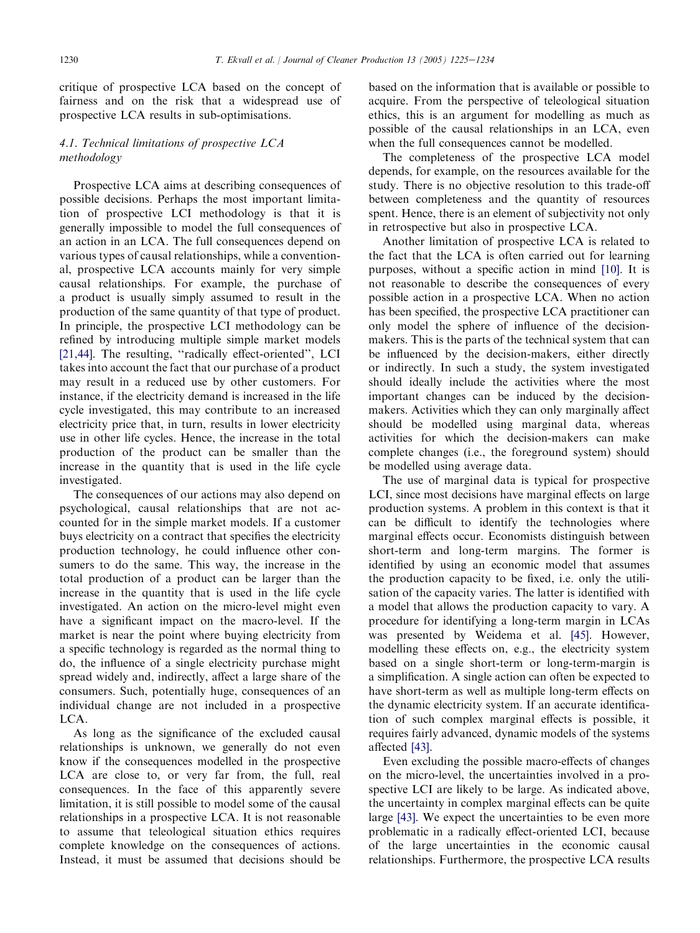critique of prospective LCA based on the concept of fairness and on the risk that a widespread use of prospective LCA results in sub-optimisations.

# 4.1. Technical limitations of prospective LCA methodology

Prospective LCA aims at describing consequences of possible decisions. Perhaps the most important limitation of prospective LCI methodology is that it is generally impossible to model the full consequences of an action in an LCA. The full consequences depend on various types of causal relationships, while a conventional, prospective LCA accounts mainly for very simple causal relationships. For example, the purchase of a product is usually simply assumed to result in the production of the same quantity of that type of product. In principle, the prospective LCI methodology can be refined by introducing multiple simple market models [\[21,44\].](#page-8-0) The resulting, "radically effect-oriented", LCI takes into account the fact that our purchase of a product may result in a reduced use by other customers. For instance, if the electricity demand is increased in the life cycle investigated, this may contribute to an increased electricity price that, in turn, results in lower electricity use in other life cycles. Hence, the increase in the total production of the product can be smaller than the increase in the quantity that is used in the life cycle investigated.

The consequences of our actions may also depend on psychological, causal relationships that are not accounted for in the simple market models. If a customer buys electricity on a contract that specifies the electricity production technology, he could influence other consumers to do the same. This way, the increase in the total production of a product can be larger than the increase in the quantity that is used in the life cycle investigated. An action on the micro-level might even have a significant impact on the macro-level. If the market is near the point where buying electricity from a specific technology is regarded as the normal thing to do, the influence of a single electricity purchase might spread widely and, indirectly, affect a large share of the consumers. Such, potentially huge, consequences of an individual change are not included in a prospective LCA.

As long as the significance of the excluded causal relationships is unknown, we generally do not even know if the consequences modelled in the prospective LCA are close to, or very far from, the full, real consequences. In the face of this apparently severe limitation, it is still possible to model some of the causal relationships in a prospective LCA. It is not reasonable to assume that teleological situation ethics requires complete knowledge on the consequences of actions. Instead, it must be assumed that decisions should be

based on the information that is available or possible to acquire. From the perspective of teleological situation ethics, this is an argument for modelling as much as possible of the causal relationships in an LCA, even when the full consequences cannot be modelled.

The completeness of the prospective LCA model depends, for example, on the resources available for the study. There is no objective resolution to this trade-off between completeness and the quantity of resources spent. Hence, there is an element of subjectivity not only in retrospective but also in prospective LCA.

Another limitation of prospective LCA is related to the fact that the LCA is often carried out for learning purposes, without a specific action in mind [\[10\]](#page-8-0). It is not reasonable to describe the consequences of every possible action in a prospective LCA. When no action has been specified, the prospective LCA practitioner can only model the sphere of influence of the decisionmakers. This is the parts of the technical system that can be influenced by the decision-makers, either directly or indirectly. In such a study, the system investigated should ideally include the activities where the most important changes can be induced by the decisionmakers. Activities which they can only marginally affect should be modelled using marginal data, whereas activities for which the decision-makers can make complete changes (i.e., the foreground system) should be modelled using average data.

The use of marginal data is typical for prospective LCI, since most decisions have marginal effects on large production systems. A problem in this context is that it can be difficult to identify the technologies where marginal effects occur. Economists distinguish between short-term and long-term margins. The former is identified by using an economic model that assumes the production capacity to be fixed, i.e. only the utilisation of the capacity varies. The latter is identified with a model that allows the production capacity to vary. A procedure for identifying a long-term margin in LCAs was presented by Weidema et al. [\[45\]](#page-8-0). However, modelling these effects on, e.g., the electricity system based on a single short-term or long-term-margin is a simplification. A single action can often be expected to have short-term as well as multiple long-term effects on the dynamic electricity system. If an accurate identification of such complex marginal effects is possible, it requires fairly advanced, dynamic models of the systems affected [\[43\]](#page-8-0).

Even excluding the possible macro-effects of changes on the micro-level, the uncertainties involved in a prospective LCI are likely to be large. As indicated above, the uncertainty in complex marginal effects can be quite large [\[43\]](#page-8-0). We expect the uncertainties to be even more problematic in a radically effect-oriented LCI, because of the large uncertainties in the economic causal relationships. Furthermore, the prospective LCA results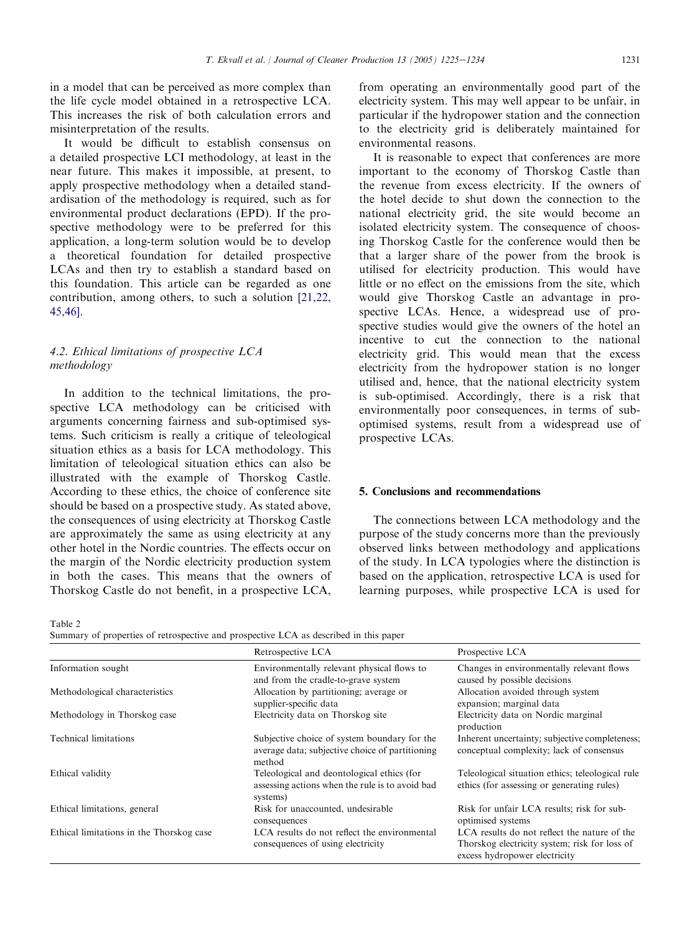<span id="page-6-0"></span>It would be difficult to establish consensus on a detailed prospective LCI methodology, at least in the near future. This makes it impossible, at present, to apply prospective methodology when a detailed standardisation of the methodology is required, such as for environmental product declarations (EPD). If the prospective methodology were to be preferred for this application, a long-term solution would be to develop a theoretical foundation for detailed prospective LCAs and then try to establish a standard based on this foundation. This article can be regarded as one contribution, among others, to such a solution [\[21,22,](#page-8-0) [45,46\].](#page-8-0)

# 4.2. Ethical limitations of prospective LCA methodology

In addition to the technical limitations, the prospective LCA methodology can be criticised with arguments concerning fairness and sub-optimised systems. Such criticism is really a critique of teleological situation ethics as a basis for LCA methodology. This limitation of teleological situation ethics can also be illustrated with the example of Thorskog Castle. According to these ethics, the choice of conference site should be based on a prospective study. As stated above, the consequences of using electricity at Thorskog Castle are approximately the same as using electricity at any other hotel in the Nordic countries. The effects occur on the margin of the Nordic electricity production system in both the cases. This means that the owners of Thorskog Castle do not benefit, in a prospective LCA,

from operating an environmentally good part of the electricity system. This may well appear to be unfair, in particular if the hydropower station and the connection to the electricity grid is deliberately maintained for environmental reasons.

It is reasonable to expect that conferences are more important to the economy of Thorskog Castle than the revenue from excess electricity. If the owners of the hotel decide to shut down the connection to the national electricity grid, the site would become an isolated electricity system. The consequence of choosing Thorskog Castle for the conference would then be that a larger share of the power from the brook is utilised for electricity production. This would have little or no effect on the emissions from the site, which would give Thorskog Castle an advantage in prospective LCAs. Hence, a widespread use of prospective studies would give the owners of the hotel an incentive to cut the connection to the national electricity grid. This would mean that the excess electricity from the hydropower station is no longer utilised and, hence, that the national electricity system is sub-optimised. Accordingly, there is a risk that environmentally poor consequences, in terms of suboptimised systems, result from a widespread use of prospective LCAs.

## 5. Conclusions and recommendations

The connections between LCA methodology and the purpose of the study concerns more than the previously observed links between methodology and applications of the study. In LCA typologies where the distinction is based on the application, retrospective LCA is used for learning purposes, while prospective LCA is used for

Table 2

Summary of properties of retrospective and prospective LCA as described in this paper

|                                          | Retrospective LCA                                                                                         | Prospective LCA                                                                                                                |
|------------------------------------------|-----------------------------------------------------------------------------------------------------------|--------------------------------------------------------------------------------------------------------------------------------|
| Information sought                       | Environmentally relevant physical flows to<br>and from the cradle-to-grave system                         | Changes in environmentally relevant flows<br>caused by possible decisions                                                      |
| Methodological characteristics           | Allocation by partitioning; average or<br>supplier-specific data                                          | Allocation avoided through system<br>expansion; marginal data                                                                  |
| Methodology in Thorskog case             | Electricity data on Thorskog site                                                                         | Electricity data on Nordic marginal<br>production                                                                              |
| Technical limitations                    | Subjective choice of system boundary for the<br>average data; subjective choice of partitioning<br>method | Inherent uncertainty; subjective completeness;<br>conceptual complexity; lack of consensus                                     |
| Ethical validity                         | Teleological and deontological ethics (for<br>assessing actions when the rule is to avoid bad<br>systems) | Teleological situation ethics; teleological rule<br>ethics (for assessing or generating rules)                                 |
| Ethical limitations, general             | Risk for unaccounted, undesirable<br>consequences                                                         | Risk for unfair LCA results; risk for sub-<br>optimised systems                                                                |
| Ethical limitations in the Thorskog case | LCA results do not reflect the environmental<br>consequences of using electricity                         | LCA results do not reflect the nature of the<br>Thorskog electricity system; risk for loss of<br>excess hydropower electricity |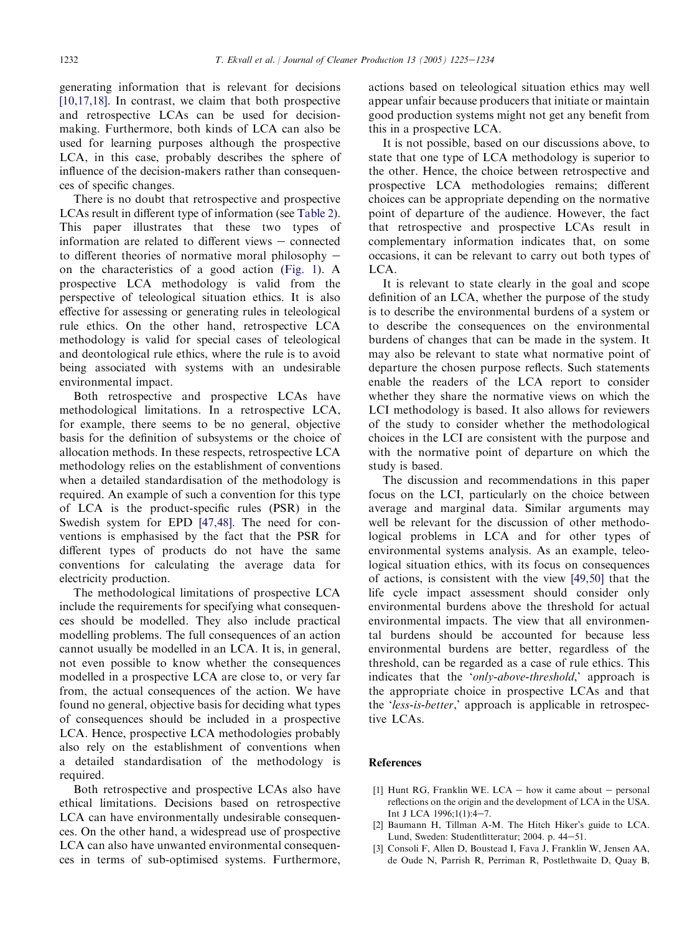<span id="page-7-0"></span>generating information that is relevant for decisions [\[10,17,18\]](#page-8-0). In contrast, we claim that both prospective and retrospective LCAs can be used for decisionmaking. Furthermore, both kinds of LCA can also be used for learning purposes although the prospective LCA, in this case, probably describes the sphere of influence of the decision-makers rather than consequences of specific changes.

There is no doubt that retrospective and prospective LCAs result in different type of information (see [Table 2\)](#page-6-0). This paper illustrates that these two types of information are related to different views  $-$  connected to different theories of normative moral philosophy  $$ on the characteristics of a good action [\(Fig. 1](#page-3-0)). A prospective LCA methodology is valid from the perspective of teleological situation ethics. It is also effective for assessing or generating rules in teleological rule ethics. On the other hand, retrospective LCA methodology is valid for special cases of teleological and deontological rule ethics, where the rule is to avoid being associated with systems with an undesirable environmental impact.

Both retrospective and prospective LCAs have methodological limitations. In a retrospective LCA, for example, there seems to be no general, objective basis for the definition of subsystems or the choice of allocation methods. In these respects, retrospective LCA methodology relies on the establishment of conventions when a detailed standardisation of the methodology is required. An example of such a convention for this type of LCA is the product-specific rules (PSR) in the Swedish system for EPD [\[47,48\]](#page-8-0). The need for conventions is emphasised by the fact that the PSR for different types of products do not have the same conventions for calculating the average data for electricity production.

The methodological limitations of prospective LCA include the requirements for specifying what consequences should be modelled. They also include practical modelling problems. The full consequences of an action cannot usually be modelled in an LCA. It is, in general, not even possible to know whether the consequences modelled in a prospective LCA are close to, or very far from, the actual consequences of the action. We have found no general, objective basis for deciding what types of consequences should be included in a prospective LCA. Hence, prospective LCA methodologies probably also rely on the establishment of conventions when a detailed standardisation of the methodology is required.

Both retrospective and prospective LCAs also have ethical limitations. Decisions based on retrospective LCA can have environmentally undesirable consequences. On the other hand, a widespread use of prospective LCA can also have unwanted environmental consequences in terms of sub-optimised systems. Furthermore, actions based on teleological situation ethics may well appear unfair because producers that initiate or maintain good production systems might not get any benefit from this in a prospective LCA.

It is not possible, based on our discussions above, to state that one type of LCA methodology is superior to the other. Hence, the choice between retrospective and prospective LCA methodologies remains; different choices can be appropriate depending on the normative point of departure of the audience. However, the fact that retrospective and prospective LCAs result in complementary information indicates that, on some occasions, it can be relevant to carry out both types of LCA.

It is relevant to state clearly in the goal and scope definition of an LCA, whether the purpose of the study is to describe the environmental burdens of a system or to describe the consequences on the environmental burdens of changes that can be made in the system. It may also be relevant to state what normative point of departure the chosen purpose reflects. Such statements enable the readers of the LCA report to consider whether they share the normative views on which the LCI methodology is based. It also allows for reviewers of the study to consider whether the methodological choices in the LCI are consistent with the purpose and with the normative point of departure on which the study is based.

The discussion and recommendations in this paper focus on the LCI, particularly on the choice between average and marginal data. Similar arguments may well be relevant for the discussion of other methodological problems in LCA and for other types of environmental systems analysis. As an example, teleological situation ethics, with its focus on consequences of actions, is consistent with the view [\[49,50\]](#page-9-0) that the life cycle impact assessment should consider only environmental burdens above the threshold for actual environmental impacts. The view that all environmental burdens should be accounted for because less environmental burdens are better, regardless of the threshold, can be regarded as a case of rule ethics. This indicates that the 'only-above-threshold,' approach is the appropriate choice in prospective LCAs and that the 'less-is-better,' approach is applicable in retrospective LCAs.

## References

- [1] Hunt RG, Franklin WE.  $LCA how$  it came about  $-$  personal reflections on the origin and the development of LCA in the USA. Int J LCA 1996;1(1):4-7.
- [2] Baumann H, Tillman A-M. The Hitch Hiker's guide to LCA. Lund, Sweden: Studentlitteratur; 2004. p. 44-51.
- [3] Consoli F, Allen D, Boustead I, Fava J, Franklin W, Jensen AA, de Oude N, Parrish R, Perriman R, Postlethwaite D, Quay B,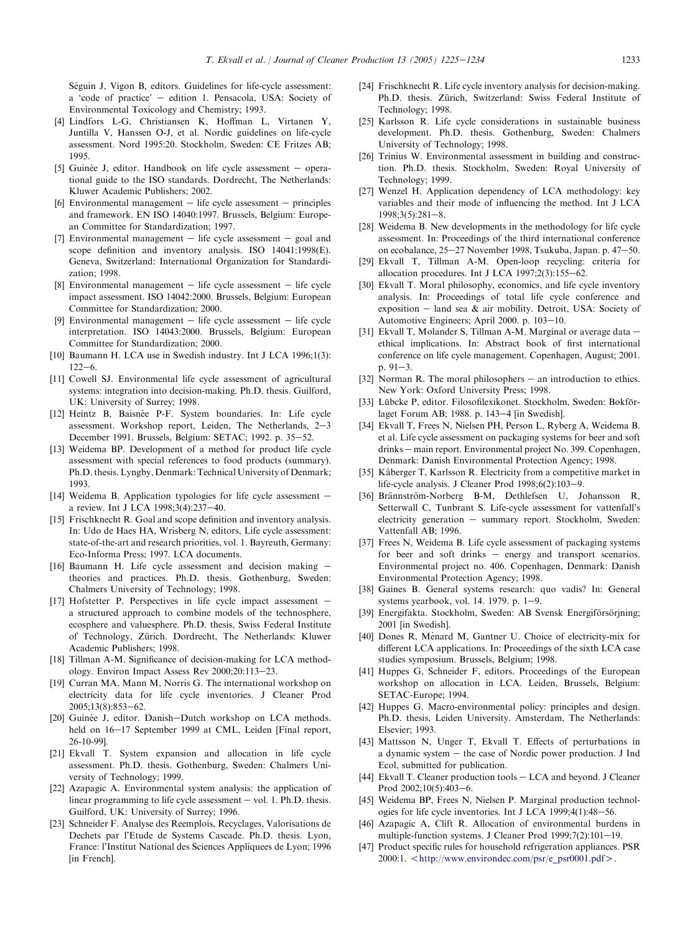<span id="page-8-0"></span>Séguin J, Vigon B, editors. Guidelines for life-cycle assessment: a 'code of practice' e edition 1. Pensacola, USA: Society of Environmental Toxicology and Chemistry; 1993.

- [4] Lindfors L-G, Christiansen K, Hoffman L, Virtanen Y, Juntilla V, Hanssen O-J, et al. Nordic guidelines on life-cycle assessment. Nord 1995:20. Stockholm, Sweden: CE Fritzes AB; 1995.
- [5] Guinée J, editor. Handbook on life cycle assessment  $-$  operational guide to the ISO standards. Dordrecht, The Netherlands: Kluwer Academic Publishers; 2002.
- [6] Environmental management  $-$  life cycle assessment  $-$  principles and framework. EN ISO 14040:1997. Brussels, Belgium: European Committee for Standardization; 1997.
- [7] Environmental management  $-$  life cycle assessment  $-$  goal and scope definition and inventory analysis. ISO 14041:1998(E). Geneva, Switzerland: International Organization for Standardization; 1998.
- [8] Environmental management  $-$  life cycle assessment  $-$  life cycle impact assessment. ISO 14042:2000. Brussels, Belgium: European Committee for Standardization; 2000.
- [9] Environmental management  $-$  life cycle assessment  $-$  life cycle interpretation. ISO 14043:2000. Brussels, Belgium: European Committee for Standardization; 2000.
- [10] Baumann H. LCA use in Swedish industry. Int J LCA 1996;1(3):  $122 - 6$
- [11] Cowell SJ. Environmental life cycle assessment of agricultural systems: integration into decision-making. Ph.D. thesis. Guilford, UK: University of Surrey; 1998.
- [12] Heintz B, Baisnée P-F. System boundaries. In: Life cycle assessment. Workshop report, Leiden, The Netherlands,  $2-3$ December 1991. Brussels, Belgium: SETAC; 1992. p. 35-52.
- [13] Weidema BP. Development of a method for product life cycle assessment with special references to food products (summary). Ph.D. thesis. Lyngby, Denmark: Technical University of Denmark; 1993.
- [14] Weidema B. Application typologies for life cycle assessment  $$ a review. Int J LCA  $1998:3(4):237-40$ .
- [15] Frischknecht R. Goal and scope definition and inventory analysis. In: Udo de Haes HA, Wrisberg N, editors, Life cycle assessment: state-of-the-art and research priorities, vol. 1. Bayreuth, Germany: Eco-Informa Press; 1997. LCA documents.
- [16] Baumann H. Life cycle assessment and decision making  $$ theories and practices. Ph.D. thesis. Gothenburg, Sweden: Chalmers University of Technology; 1998.
- [17] Hofstetter P. Perspectives in life cycle impact assessment  $$ a structured approach to combine models of the technosphere, ecosphere and valuesphere. Ph.D. thesis, Swiss Federal Institute of Technology, Zürich. Dordrecht, The Netherlands: Kluwer Academic Publishers; 1998.
- [18] Tillman A-M. Significance of decision-making for LCA methodology. Environ Impact Assess Rev  $2000;20:113-23$ .
- [19] Curran MA, Mann M, Norris G. The international workshop on electricity data for life cycle inventories. J Cleaner Prod  $2005:13(8):853-62.$
- [20] Guinée J, editor. Danish-Dutch workshop on LCA methods. held on 16-17 September 1999 at CML, Leiden [Final report, 26-10-99].
- [21] Ekvall T. System expansion and allocation in life cycle assessment. Ph.D. thesis. Gothenburg, Sweden: Chalmers University of Technology; 1999.
- [22] Azapagic A. Environmental system analysis: the application of linear programming to life cycle assessment  $-$  vol. 1. Ph.D. thesis. Guilford, UK: University of Surrey; 1996.
- [23] Schneider F. Analyse des Reemplois, Recyclages, Valorisations de Dechets par l'Etude de Systems Cascade. Ph.D. thesis. Lyon, France: l'Institut National des Sciences Appliquees de Lyon; 1996 [in French].
- [24] Frischknecht R. Life cycle inventory analysis for decision-making. Ph.D. thesis. Zürich, Switzerland: Swiss Federal Institute of Technology; 1998.
- [25] Karlsson R. Life cycle considerations in sustainable business development. Ph.D. thesis. Gothenburg, Sweden: Chalmers University of Technology; 1998.
- [26] Trinius W. Environmental assessment in building and construction. Ph.D. thesis. Stockholm, Sweden: Royal University of Technology; 1999.
- [27] Wenzel H. Application dependency of LCA methodology: key variables and their mode of influencing the method. Int J LCA  $1998.3(5) \cdot 281 - 8$ .
- [28] Weidema B. New developments in the methodology for life cycle assessment. In: Proceedings of the third international conference on ecobalance,  $25-27$  November 1998, Tsukuba, Japan. p.  $47-50$ .
- [29] Ekvall T, Tillman A-M. Open-loop recycling: criteria for allocation procedures. Int J LCA  $1997;2(3):155-62$ .
- [30] Ekvall T. Moral philosophy, economics, and life cycle inventory analysis. In: Proceedings of total life cycle conference and exposition  $-$  land sea & air mobility. Detroit, USA: Society of Automotive Engineers; April  $2000$ . p.  $103-10$ .
- [31] Ekvall T, Molander S, Tillman A-M. Marginal or average data  $$ ethical implications. In: Abstract book of first international conference on life cycle management. Copenhagen, August; 2001.  $p. 91 - 3$
- [32] Norman R. The moral philosophers  $-$  an introduction to ethics. New York: Oxford University Press; 1998.
- [33] Lübcke P, editor. Filosofilexikonet. Stockholm, Sweden: Bokförlaget Forum AB; 1988. p.  $143-4$  [in Swedish].
- [34] Ekvall T, Frees N, Nielsen PH, Person L, Ryberg A, Weidema B. et al. Life cycle assessment on packaging systems for beer and soft drinks - main report. Environmental project No. 399. Copenhagen, Denmark: Danish Environmental Protection Agency; 1998.
- [35] Kåberger T, Karlsson R. Electricity from a competitive market in life-cycle analysis. J Cleaner Prod  $1998;6(2):103-9$ .
- [36] Brännström-Norberg B-M, Dethlefsen U, Johansson R, Setterwall C, Tunbrant S. Life-cycle assessment for vattenfall's electricity generation  $-$  summary report. Stockholm, Sweden: Vattenfall AB; 1996.
- [37] Frees N, Weidema B. Life cycle assessment of packaging systems for beer and soft drinks  $-$  energy and transport scenarios. Environmental project no. 406. Copenhagen, Denmark: Danish Environmental Protection Agency; 1998.
- [38] Gaines B. General systems research: quo vadis? In: General systems yearbook, vol. 14. 1979. p.  $1-9$ .
- [39] Energifakta. Stockholm, Sweden: AB Svensk Energiförsörjning; 2001 [in Swedish].
- [40] Dones R, Ménard M, Gantner U. Choice of electricity-mix for different LCA applications. In: Proceedings of the sixth LCA case studies symposium. Brussels, Belgium; 1998.
- [41] Huppes G, Schneider F, editors. Proceedings of the European workshop on allocation in LCA. Leiden, Brussels, Belgium: SETAC-Europe; 1994.
- [42] Huppes G. Macro-environmental policy: principles and design. Ph.D. thesis, Leiden University. Amsterdam, The Netherlands: Elsevier; 1993.
- [43] Mattsson N, Unger T, Ekvall T. Effects of perturbations in a dynamic system  $-$  the case of Nordic power production. J Ind Ecol, submitted for publication.
- [44] Ekvall T. Cleaner production tools  $-$  LCA and beyond. J Cleaner Prod 2002;10(5):403-6.
- [45] Weidema BP, Frees N, Nielsen P. Marginal production technologies for life cycle inventories. Int J LCA  $1999;4(1):48-56$ .
- [46] Azapagic A, Clift R. Allocation of environmental burdens in multiple-function systems. J Cleaner Prod  $1999;7(2):101-19$ .
- [47] Product specific rules for household refrigeration appliances. PSR  $2000:1.$   $\lt$ [http://www.environdec.com/psr/e\\_psr0001.pdf](http://www.environdec.com/psr/e_psr0001.pdf) $>$ .